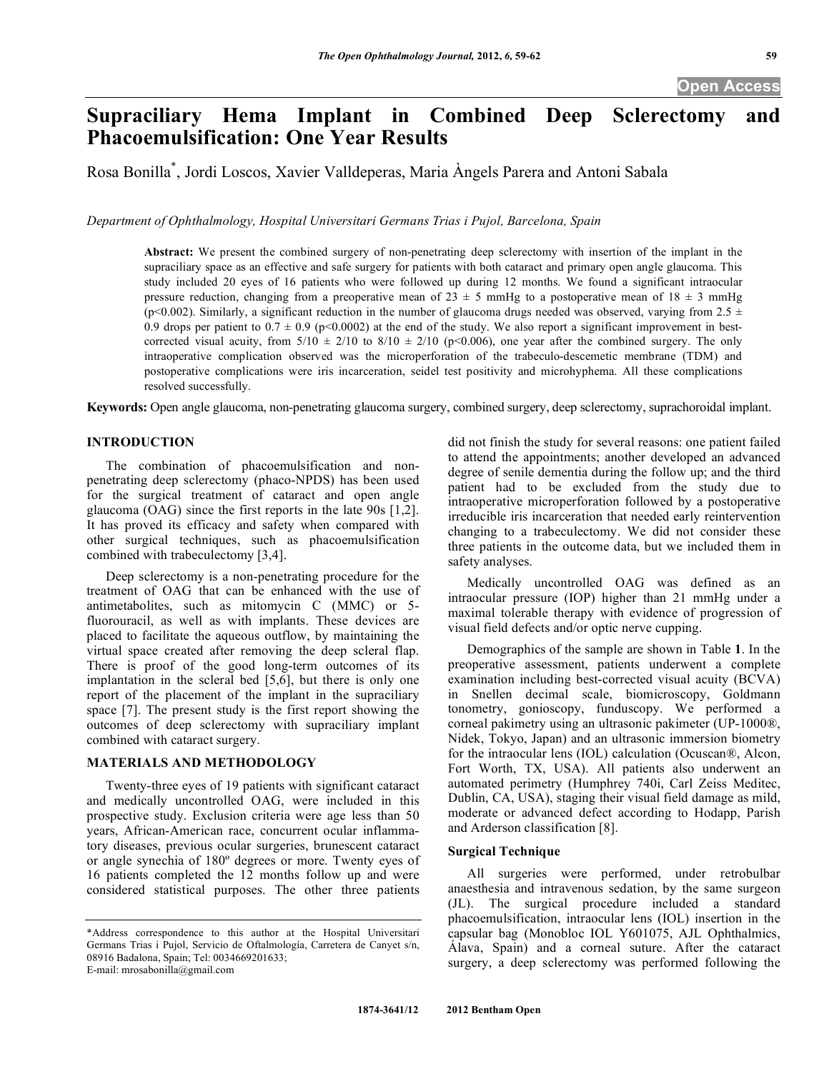**Open Access** 

# **Supraciliary Hema Implant in Combined Deep Sclerectomy and Phacoemulsification: One Year Results**

Rosa Bonilla\* , Jordi Loscos, Xavier Valldeperas, Maria Àngels Parera and Antoni Sabala

*Department of Ophthalmology, Hospital Universitari Germans Trias i Pujol, Barcelona, Spain* 

**Abstract:** We present the combined surgery of non-penetrating deep sclerectomy with insertion of the implant in the supraciliary space as an effective and safe surgery for patients with both cataract and primary open angle glaucoma. This study included 20 eyes of 16 patients who were followed up during 12 months. We found a significant intraocular pressure reduction, changing from a preoperative mean of 23  $\pm$  5 mmHg to a postoperative mean of 18  $\pm$  3 mmHg (p<0.002). Similarly, a significant reduction in the number of glaucoma drugs needed was observed, varying from 2.5  $\pm$ 0.9 drops per patient to  $0.7 \pm 0.9$  (p<0.0002) at the end of the study. We also report a significant improvement in bestcorrected visual acuity, from  $5/10 \pm 2/10$  to  $8/10 \pm 2/10$  (p<0.006), one year after the combined surgery. The only intraoperative complication observed was the microperforation of the trabeculo-descemetic membrane (TDM) and postoperative complications were iris incarceration, seidel test positivity and microhyphema. All these complications resolved successfully.

**Keywords:** Open angle glaucoma, non-penetrating glaucoma surgery, combined surgery, deep sclerectomy, suprachoroidal implant.

## **INTRODUCTION**

 The combination of phacoemulsification and nonpenetrating deep sclerectomy (phaco-NPDS) has been used for the surgical treatment of cataract and open angle glaucoma (OAG) since the first reports in the late 90s [1,2]. It has proved its efficacy and safety when compared with other surgical techniques, such as phacoemulsification combined with trabeculectomy [3,4].

 Deep sclerectomy is a non-penetrating procedure for the treatment of OAG that can be enhanced with the use of antimetabolites, such as mitomycin C (MMC) or 5 fluorouracil, as well as with implants. These devices are placed to facilitate the aqueous outflow, by maintaining the virtual space created after removing the deep scleral flap. There is proof of the good long-term outcomes of its implantation in the scleral bed [5,6], but there is only one report of the placement of the implant in the supraciliary space [7]. The present study is the first report showing the outcomes of deep sclerectomy with supraciliary implant combined with cataract surgery.

# **MATERIALS AND METHODOLOGY**

 Twenty-three eyes of 19 patients with significant cataract and medically uncontrolled OAG, were included in this prospective study. Exclusion criteria were age less than 50 years, African-American race, concurrent ocular inflammatory diseases, previous ocular surgeries, brunescent cataract or angle synechia of 180º degrees or more. Twenty eyes of 16 patients completed the 12 months follow up and were considered statistical purposes. The other three patients did not finish the study for several reasons: one patient failed to attend the appointments; another developed an advanced degree of senile dementia during the follow up; and the third patient had to be excluded from the study due to intraoperative microperforation followed by a postoperative irreducible iris incarceration that needed early reintervention changing to a trabeculectomy. We did not consider these three patients in the outcome data, but we included them in safety analyses.

 Medically uncontrolled OAG was defined as an intraocular pressure (IOP) higher than 21 mmHg under a maximal tolerable therapy with evidence of progression of visual field defects and/or optic nerve cupping.

 Demographics of the sample are shown in Table **1**. In the preoperative assessment, patients underwent a complete examination including best-corrected visual acuity (BCVA) in Snellen decimal scale, biomicroscopy, Goldmann tonometry, gonioscopy, funduscopy. We performed a corneal pakimetry using an ultrasonic pakimeter (UP-1000®, Nidek, Tokyo, Japan) and an ultrasonic immersion biometry for the intraocular lens (IOL) calculation (Ocuscan®, Alcon, Fort Worth, TX, USA). All patients also underwent an automated perimetry (Humphrey 740i, Carl Zeiss Meditec, Dublin, CA, USA), staging their visual field damage as mild, moderate or advanced defect according to Hodapp, Parish and Arderson classification [8].

# **Surgical Technique**

 All surgeries were performed, under retrobulbar anaesthesia and intravenous sedation, by the same surgeon (JL). The surgical procedure included a standard phacoemulsification, intraocular lens (IOL) insertion in the capsular bag (Monobloc IOL Y601075, AJL Ophthalmics, Álava, Spain) and a corneal suture. After the cataract surgery, a deep sclerectomy was performed following the

<sup>\*</sup>Address correspondence to this author at the Hospital Universitari Germans Trias i Pujol, Servicio de Oftalmología, Carretera de Canyet s/n, 08916 Badalona, Spain; Tel: 0034669201633; E-mail: mrosabonilla@gmail.com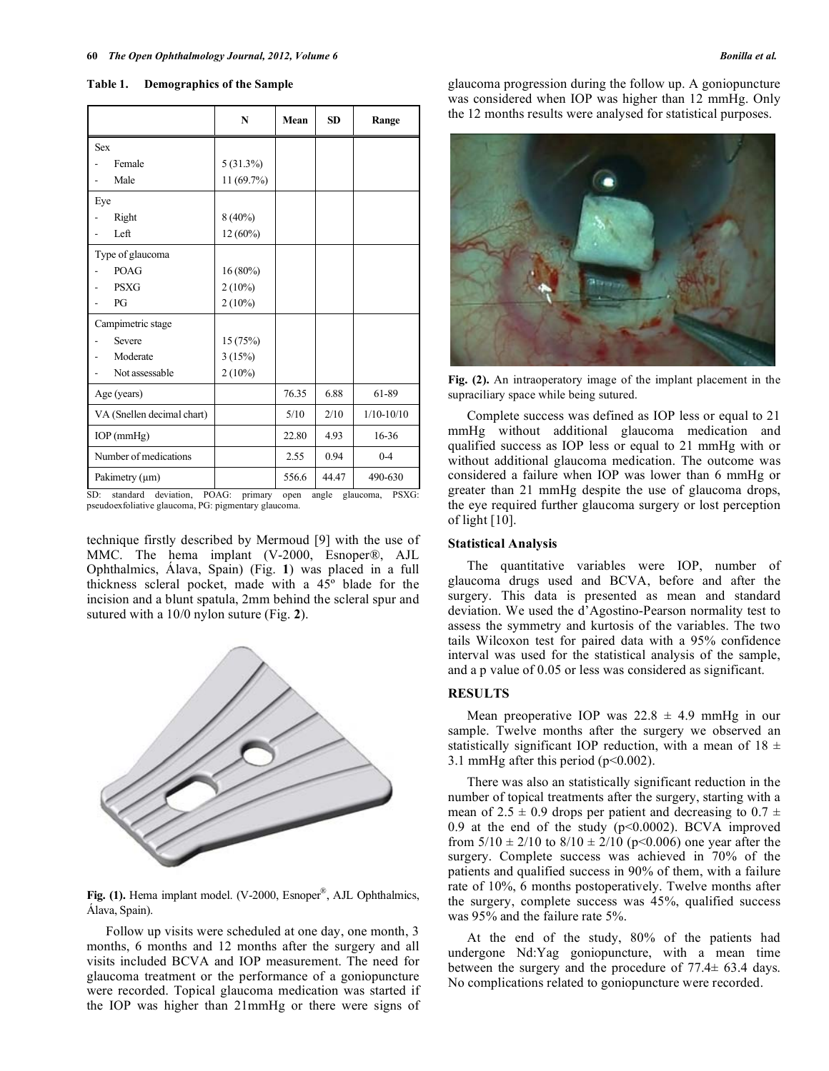|                            | N           | Mean  | <b>SD</b> | Range        |
|----------------------------|-------------|-------|-----------|--------------|
| <b>Sex</b>                 |             |       |           |              |
| Female                     | $5(31.3\%)$ |       |           |              |
| Male                       | 11 (69.7%)  |       |           |              |
| Eye                        |             |       |           |              |
| Right                      | $8(40\%)$   |       |           |              |
| Left                       | 12 (60%)    |       |           |              |
| Type of glaucoma           |             |       |           |              |
| <b>POAG</b>                | $16(80\%)$  |       |           |              |
| <b>PSXG</b>                | $2(10\%)$   |       |           |              |
| PG                         | $2(10\%)$   |       |           |              |
| Campimetric stage          |             |       |           |              |
| Severe                     | 15 (75%)    |       |           |              |
| Moderate                   | 3(15%)      |       |           |              |
| Not assessable             | $2(10\%)$   |       |           |              |
| Age (years)                |             | 76.35 | 6.88      | 61-89        |
| VA (Snellen decimal chart) |             | 5/10  | 2/10      | $1/10-10/10$ |
| $IOP$ (mm $Hg$ )           |             | 22.80 | 4.93      | 16-36        |
| Number of medications      |             | 2.55  | 0.94      | $0 - 4$      |
| Pakimetry (µm)             |             | 556.6 | 44.47     | 490-630      |

**Table 1. Demographics of the Sample** 

SD: standard deviation, POAG: primary open angle glaucoma, PSXG: pseudoexfoliative glaucoma, PG: pigmentary glaucoma.

technique firstly described by Mermoud [9] with the use of MMC. The hema implant (V-2000, Esnoper®, AJL Ophthalmics, Álava, Spain) (Fig. **1**) was placed in a full thickness scleral pocket, made with a 45º blade for the incision and a blunt spatula, 2mm behind the scleral spur and sutured with a 10/0 nylon suture (Fig. **2**).



**Fig. (1).** Hema implant model. (V-2000, Esnoper®, AJL Ophthalmics, Álava, Spain).

 Follow up visits were scheduled at one day, one month, 3 months, 6 months and 12 months after the surgery and all visits included BCVA and IOP measurement. The need for glaucoma treatment or the performance of a goniopuncture were recorded. Topical glaucoma medication was started if the IOP was higher than 21mmHg or there were signs of

glaucoma progression during the follow up. A goniopuncture was considered when IOP was higher than 12 mmHg. Only the 12 months results were analysed for statistical purposes.



**Fig. (2).** An intraoperatory image of the implant placement in the supraciliary space while being sutured.

 Complete success was defined as IOP less or equal to 21 mmHg without additional glaucoma medication and qualified success as IOP less or equal to 21 mmHg with or without additional glaucoma medication. The outcome was considered a failure when IOP was lower than 6 mmHg or greater than 21 mmHg despite the use of glaucoma drops, the eye required further glaucoma surgery or lost perception of light [10].

## **Statistical Analysis**

 The quantitative variables were IOP, number of glaucoma drugs used and BCVA, before and after the surgery. This data is presented as mean and standard deviation. We used the d'Agostino-Pearson normality test to assess the symmetry and kurtosis of the variables. The two tails Wilcoxon test for paired data with a 95% confidence interval was used for the statistical analysis of the sample, and a p value of 0.05 or less was considered as significant.

# **RESULTS**

Mean preoperative IOP was  $22.8 \pm 4.9$  mmHg in our sample. Twelve months after the surgery we observed an statistically significant IOP reduction, with a mean of  $18 \pm$ 3.1 mmHg after this period (p<0.002).

 There was also an statistically significant reduction in the number of topical treatments after the surgery, starting with a mean of  $2.5 \pm 0.9$  drops per patient and decreasing to  $0.7 \pm 1.5$ 0.9 at the end of the study  $(p<0.0002)$ . BCVA improved from  $5/10 \pm 2/10$  to  $8/10 \pm 2/10$  (p<0.006) one year after the surgery. Complete success was achieved in 70% of the patients and qualified success in 90% of them, with a failure rate of 10%, 6 months postoperatively. Twelve months after the surgery, complete success was 45%, qualified success was 95% and the failure rate 5%.

 At the end of the study, 80% of the patients had undergone Nd:Yag goniopuncture, with a mean time between the surgery and the procedure of 77.4± 63.4 days. No complications related to goniopuncture were recorded.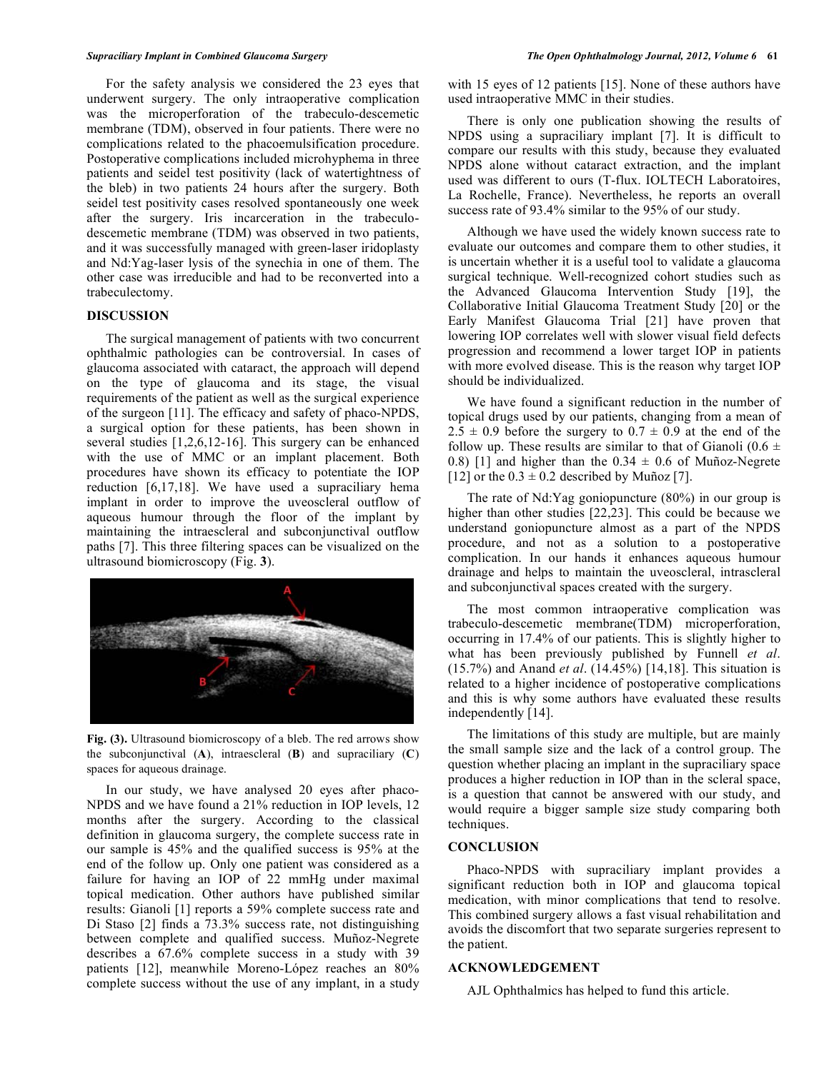For the safety analysis we considered the 23 eyes that underwent surgery. The only intraoperative complication was the microperforation of the trabeculo-descemetic membrane (TDM), observed in four patients. There were no complications related to the phacoemulsification procedure. Postoperative complications included microhyphema in three patients and seidel test positivity (lack of watertightness of the bleb) in two patients 24 hours after the surgery. Both seidel test positivity cases resolved spontaneously one week after the surgery. Iris incarceration in the trabeculodescemetic membrane (TDM) was observed in two patients, and it was successfully managed with green-laser iridoplasty and Nd:Yag-laser lysis of the synechia in one of them. The other case was irreducible and had to be reconverted into a trabeculectomy.

# **DISCUSSION**

 The surgical management of patients with two concurrent ophthalmic pathologies can be controversial. In cases of glaucoma associated with cataract, the approach will depend on the type of glaucoma and its stage, the visual requirements of the patient as well as the surgical experience of the surgeon [11]. The efficacy and safety of phaco-NPDS, a surgical option for these patients, has been shown in several studies [1,2,6,12-16]. This surgery can be enhanced with the use of MMC or an implant placement. Both procedures have shown its efficacy to potentiate the IOP reduction [6,17,18]. We have used a supraciliary hema implant in order to improve the uveoscleral outflow of aqueous humour through the floor of the implant by maintaining the intraescleral and subconjunctival outflow paths [7]. This three filtering spaces can be visualized on the ultrasound biomicroscopy (Fig. **3**).



**Fig. (3).** Ultrasound biomicroscopy of a bleb. The red arrows show the subconjunctival (**A**), intraescleral (**B**) and supraciliary (**C**) spaces for aqueous drainage.

 In our study, we have analysed 20 eyes after phaco-NPDS and we have found a 21% reduction in IOP levels, 12 months after the surgery. According to the classical definition in glaucoma surgery, the complete success rate in our sample is 45% and the qualified success is 95% at the end of the follow up. Only one patient was considered as a failure for having an IOP of 22 mmHg under maximal topical medication. Other authors have published similar results: Gianoli [1] reports a 59% complete success rate and Di Staso [2] finds a 73.3% success rate, not distinguishing between complete and qualified success. Muñoz-Negrete describes a 67.6% complete success in a study with 39 patients [12], meanwhile Moreno-López reaches an 80% complete success without the use of any implant, in a study

with 15 eyes of 12 patients [15]. None of these authors have used intraoperative MMC in their studies.

 There is only one publication showing the results of NPDS using a supraciliary implant [7]. It is difficult to compare our results with this study, because they evaluated NPDS alone without cataract extraction, and the implant used was different to ours (T-flux. IOLTECH Laboratoires, La Rochelle, France). Nevertheless, he reports an overall success rate of 93.4% similar to the 95% of our study.

 Although we have used the widely known success rate to evaluate our outcomes and compare them to other studies, it is uncertain whether it is a useful tool to validate a glaucoma surgical technique. Well-recognized cohort studies such as the Advanced Glaucoma Intervention Study [19], the Collaborative Initial Glaucoma Treatment Study [20] or the Early Manifest Glaucoma Trial [21] have proven that lowering IOP correlates well with slower visual field defects progression and recommend a lower target IOP in patients with more evolved disease. This is the reason why target IOP should be individualized.

 We have found a significant reduction in the number of topical drugs used by our patients, changing from a mean of  $2.5 \pm 0.9$  before the surgery to  $0.7 \pm 0.9$  at the end of the follow up. These results are similar to that of Gianoli (0.6  $\pm$ 0.8) [1] and higher than the  $0.34 \pm 0.6$  of Muñoz-Negrete [12] or the  $0.3 \pm 0.2$  described by Muñoz [7].

 The rate of Nd:Yag goniopuncture (80%) in our group is higher than other studies [22,23]. This could be because we understand goniopuncture almost as a part of the NPDS procedure, and not as a solution to a postoperative complication. In our hands it enhances aqueous humour drainage and helps to maintain the uveoscleral, intrascleral and subconjunctival spaces created with the surgery.

 The most common intraoperative complication was trabeculo-descemetic membrane(TDM) microperforation, occurring in 17.4% of our patients. This is slightly higher to what has been previously published by Funnell *et al*. (15.7%) and Anand *et al*. (14.45%) [14,18]. This situation is related to a higher incidence of postoperative complications and this is why some authors have evaluated these results independently [14].

 The limitations of this study are multiple, but are mainly the small sample size and the lack of a control group. The question whether placing an implant in the supraciliary space produces a higher reduction in IOP than in the scleral space, is a question that cannot be answered with our study, and would require a bigger sample size study comparing both techniques.

# **CONCLUSION**

 Phaco-NPDS with supraciliary implant provides a significant reduction both in IOP and glaucoma topical medication, with minor complications that tend to resolve. This combined surgery allows a fast visual rehabilitation and avoids the discomfort that two separate surgeries represent to the patient.

# **ACKNOWLEDGEMENT**

AJL Ophthalmics has helped to fund this article.